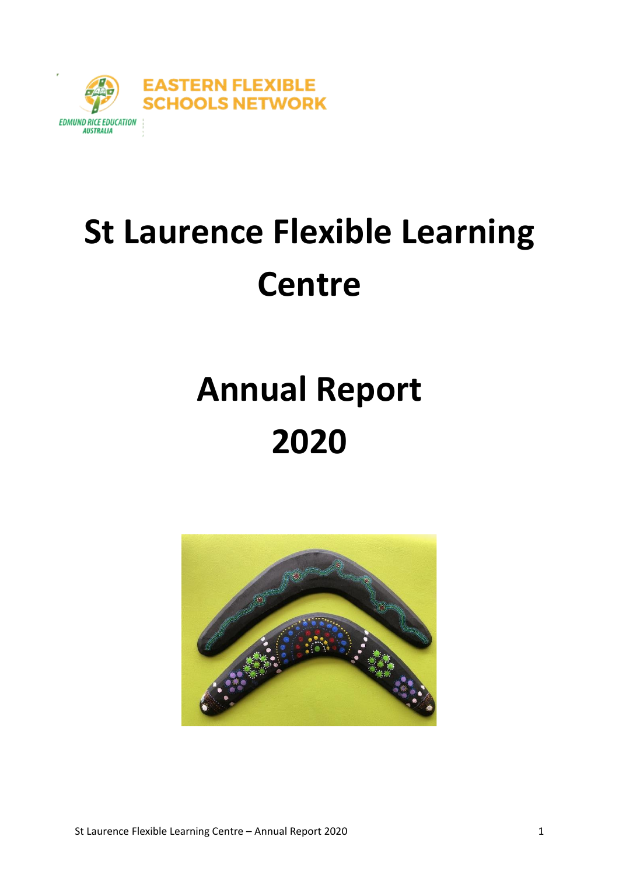

# **St Laurence Flexible Learning Centre**

# **Annual Report 2020**

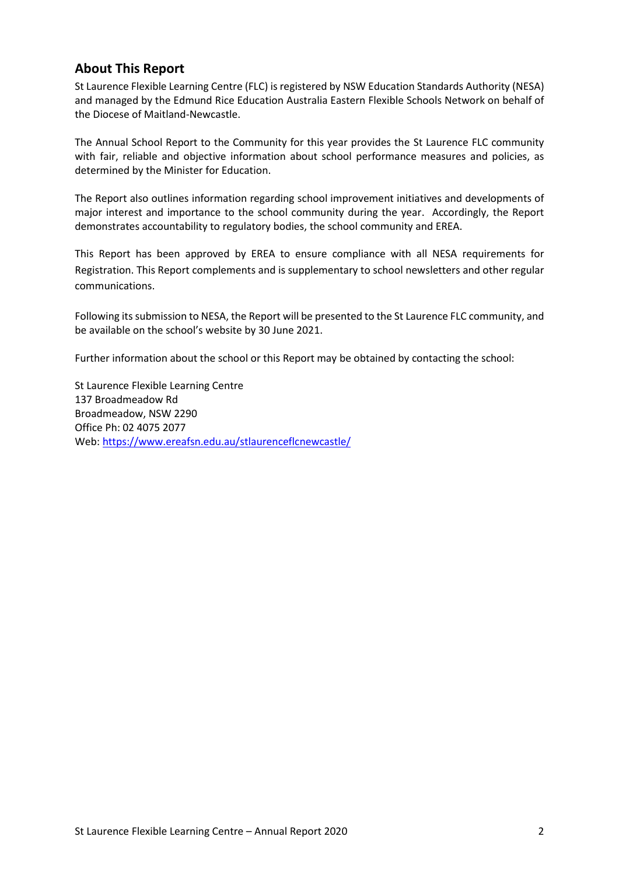#### **About This Report**

St Laurence Flexible Learning Centre (FLC) is registered by NSW Education Standards Authority (NESA) and managed by the Edmund Rice Education Australia Eastern Flexible Schools Network on behalf of the Diocese of Maitland-Newcastle.

The Annual School Report to the Community for this year provides the St Laurence FLC community with fair, reliable and objective information about school performance measures and policies, as determined by the Minister for Education.

The Report also outlines information regarding school improvement initiatives and developments of major interest and importance to the school community during the year. Accordingly, the Report demonstrates accountability to regulatory bodies, the school community and EREA.

This Report has been approved by EREA to ensure compliance with all NESA requirements for Registration. This Report complements and is supplementary to school newsletters and other regular communications.

Following its submission to NESA, the Report will be presented to the St Laurence FLC community, and be available on the school's website by 30 June 2021.

Further information about the school or this Report may be obtained by contacting the school:

St Laurence Flexible Learning Centre 137 Broadmeadow Rd Broadmeadow, NSW 2290 Office Ph: 02 4075 2077 Web[: https://www.ereafsn.edu.au/stlaurenceflcnewcastle/](https://www.ereafsn.edu.au/stlaurenceflcnewcastle/)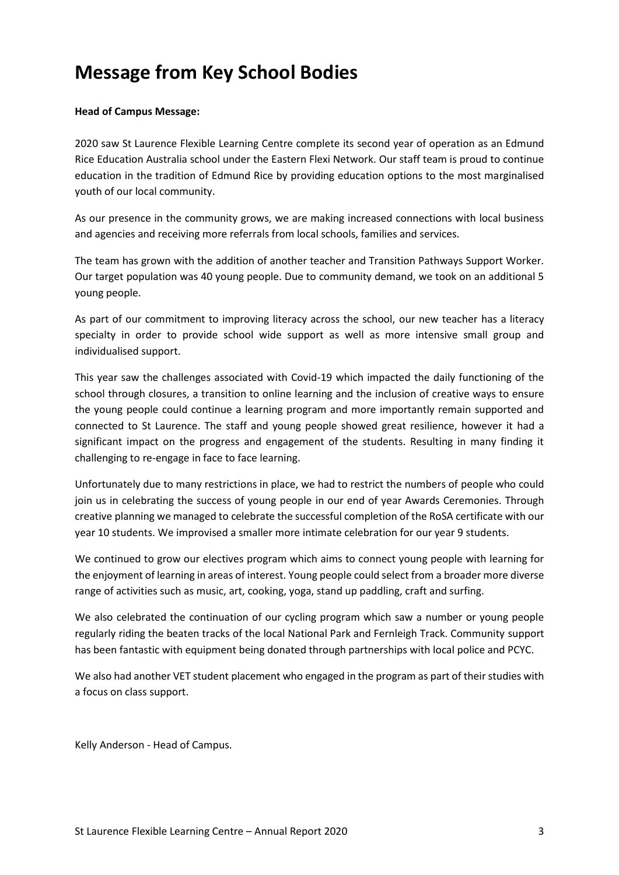# **Message from Key School Bodies**

#### **Head of Campus Message:**

2020 saw St Laurence Flexible Learning Centre complete its second year of operation as an Edmund Rice Education Australia school under the Eastern Flexi Network. Our staff team is proud to continue education in the tradition of Edmund Rice by providing education options to the most marginalised youth of our local community.

As our presence in the community grows, we are making increased connections with local business and agencies and receiving more referrals from local schools, families and services.

The team has grown with the addition of another teacher and Transition Pathways Support Worker. Our target population was 40 young people. Due to community demand, we took on an additional 5 young people.

As part of our commitment to improving literacy across the school, our new teacher has a literacy specialty in order to provide school wide support as well as more intensive small group and individualised support.

This year saw the challenges associated with Covid-19 which impacted the daily functioning of the school through closures, a transition to online learning and the inclusion of creative ways to ensure the young people could continue a learning program and more importantly remain supported and connected to St Laurence. The staff and young people showed great resilience, however it had a significant impact on the progress and engagement of the students. Resulting in many finding it challenging to re-engage in face to face learning.

Unfortunately due to many restrictions in place, we had to restrict the numbers of people who could join us in celebrating the success of young people in our end of year Awards Ceremonies. Through creative planning we managed to celebrate the successful completion of the RoSA certificate with our year 10 students. We improvised a smaller more intimate celebration for our year 9 students.

We continued to grow our electives program which aims to connect young people with learning for the enjoyment of learning in areas of interest. Young people could select from a broader more diverse range of activities such as music, art, cooking, yoga, stand up paddling, craft and surfing.

We also celebrated the continuation of our cycling program which saw a number or young people regularly riding the beaten tracks of the local National Park and Fernleigh Track. Community support has been fantastic with equipment being donated through partnerships with local police and PCYC.

We also had another VET student placement who engaged in the program as part of their studies with a focus on class support.

Kelly Anderson - Head of Campus.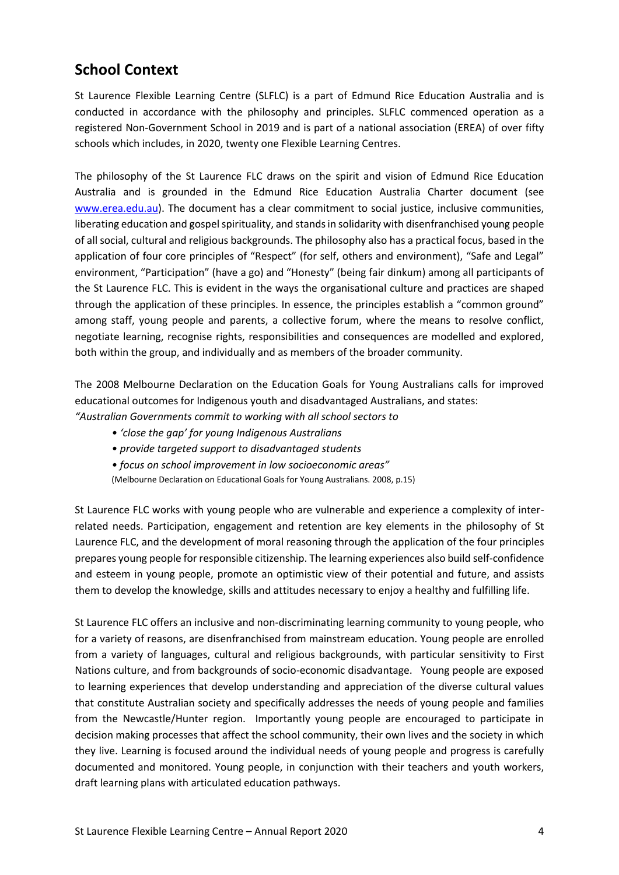# **School Context**

St Laurence Flexible Learning Centre (SLFLC) is a part of Edmund Rice Education Australia and is conducted in accordance with the philosophy and principles. SLFLC commenced operation as a registered Non-Government School in 2019 and is part of a national association (EREA) of over fifty schools which includes, in 2020, twenty one Flexible Learning Centres.

The philosophy of the St Laurence FLC draws on the spirit and vision of Edmund Rice Education Australia and is grounded in the Edmund Rice Education Australia Charter document (see [www.erea.edu.au\)](http://www.erea.edu.au/). The document has a clear commitment to social justice, inclusive communities, liberating education and gospel spirituality, and stands in solidarity with disenfranchised young people of all social, cultural and religious backgrounds. The philosophy also has a practical focus, based in the application of four core principles of "Respect" (for self, others and environment), "Safe and Legal" environment, "Participation" (have a go) and "Honesty" (being fair dinkum) among all participants of the St Laurence FLC. This is evident in the ways the organisational culture and practices are shaped through the application of these principles. In essence, the principles establish a "common ground" among staff, young people and parents, a collective forum, where the means to resolve conflict, negotiate learning, recognise rights, responsibilities and consequences are modelled and explored, both within the group, and individually and as members of the broader community.

The 2008 Melbourne Declaration on the Education Goals for Young Australians calls for improved educational outcomes for Indigenous youth and disadvantaged Australians, and states:

- *"Australian Governments commit to working with all school sectors to*
	- *'close the gap' for young Indigenous Australians*
	- *provide targeted support to disadvantaged students*
	- *focus on school improvement in low socioeconomic areas"*
	- (Melbourne Declaration on Educational Goals for Young Australians. 2008, p.15)

St Laurence FLC works with young people who are vulnerable and experience a complexity of interrelated needs. Participation, engagement and retention are key elements in the philosophy of St Laurence FLC, and the development of moral reasoning through the application of the four principles prepares young people for responsible citizenship. The learning experiences also build self-confidence and esteem in young people, promote an optimistic view of their potential and future, and assists them to develop the knowledge, skills and attitudes necessary to enjoy a healthy and fulfilling life.

St Laurence FLC offers an inclusive and non-discriminating learning community to young people, who for a variety of reasons, are disenfranchised from mainstream education. Young people are enrolled from a variety of languages, cultural and religious backgrounds, with particular sensitivity to First Nations culture, and from backgrounds of socio-economic disadvantage. Young people are exposed to learning experiences that develop understanding and appreciation of the diverse cultural values that constitute Australian society and specifically addresses the needs of young people and families from the Newcastle/Hunter region. Importantly young people are encouraged to participate in decision making processes that affect the school community, their own lives and the society in which they live. Learning is focused around the individual needs of young people and progress is carefully documented and monitored. Young people, in conjunction with their teachers and youth workers, draft learning plans with articulated education pathways.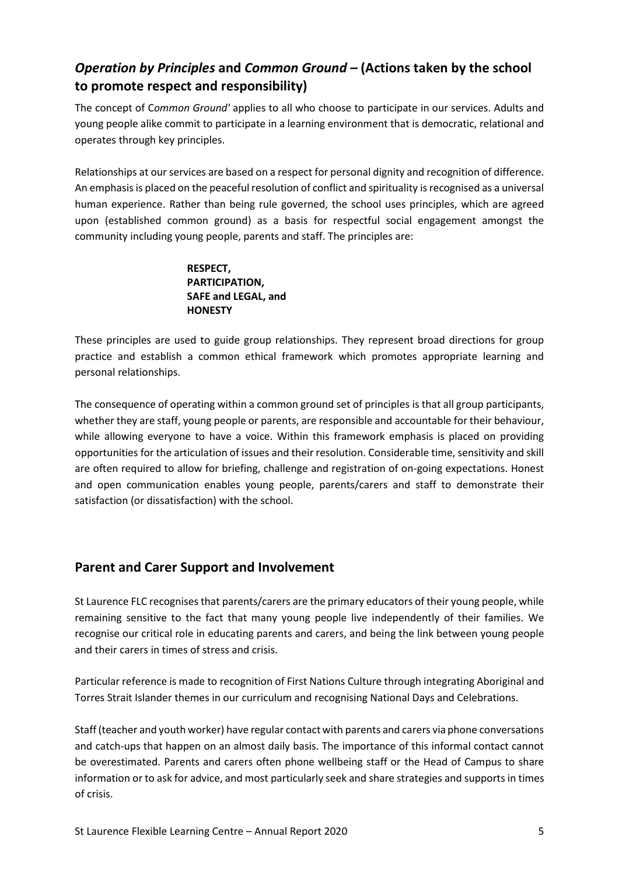# *Operation by Principles* **and** *Common Ground –* **(Actions taken by the school to promote respect and responsibility)**

The concept of C*ommon Ground'* applies to all who choose to participate in our services. Adults and young people alike commit to participate in a learning environment that is democratic, relational and operates through key principles.

Relationships at our services are based on a respect for personal dignity and recognition of difference. An emphasis is placed on the peaceful resolution of conflict and spirituality is recognised as a universal human experience. Rather than being rule governed, the school uses principles, which are agreed upon (established common ground) as a basis for respectful social engagement amongst the community including young people, parents and staff. The principles are:

#### **RESPECT, PARTICIPATION, SAFE and LEGAL, and HONESTY**

These principles are used to guide group relationships. They represent broad directions for group practice and establish a common ethical framework which promotes appropriate learning and personal relationships.

The consequence of operating within a common ground set of principles is that all group participants, whether they are staff, young people or parents, are responsible and accountable for their behaviour, while allowing everyone to have a voice. Within this framework emphasis is placed on providing opportunities for the articulation of issues and their resolution. Considerable time, sensitivity and skill are often required to allow for briefing, challenge and registration of on-going expectations. Honest and open communication enables young people, parents/carers and staff to demonstrate their satisfaction (or dissatisfaction) with the school.

# **Parent and Carer Support and Involvement**

St Laurence FLC recognises that parents/carers are the primary educators of their young people, while remaining sensitive to the fact that many young people live independently of their families. We recognise our critical role in educating parents and carers, and being the link between young people and their carers in times of stress and crisis.

Particular reference is made to recognition of First Nations Culture through integrating Aboriginal and Torres Strait Islander themes in our curriculum and recognising National Days and Celebrations.

Staff (teacher and youth worker) have regular contact with parents and carers via phone conversations and catch-ups that happen on an almost daily basis. The importance of this informal contact cannot be overestimated. Parents and carers often phone wellbeing staff or the Head of Campus to share information or to ask for advice, and most particularly seek and share strategies and supports in times of crisis.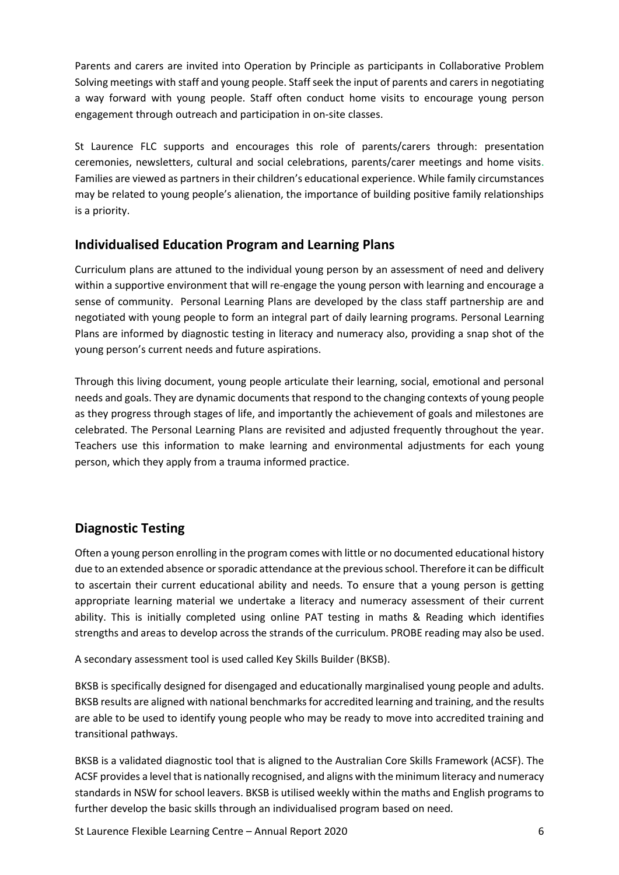Parents and carers are invited into Operation by Principle as participants in Collaborative Problem Solving meetings with staff and young people. Staff seek the input of parents and carers in negotiating a way forward with young people. Staff often conduct home visits to encourage young person engagement through outreach and participation in on-site classes.

St Laurence FLC supports and encourages this role of parents/carers through: presentation ceremonies, newsletters, cultural and social celebrations, parents/carer meetings and home visits. Families are viewed as partners in their children's educational experience. While family circumstances may be related to young people's alienation, the importance of building positive family relationships is a priority.

#### **Individualised Education Program and Learning Plans**

Curriculum plans are attuned to the individual young person by an assessment of need and delivery within a supportive environment that will re-engage the young person with learning and encourage a sense of community. Personal Learning Plans are developed by the class staff partnership are and negotiated with young people to form an integral part of daily learning programs. Personal Learning Plans are informed by diagnostic testing in literacy and numeracy also, providing a snap shot of the young person's current needs and future aspirations.

Through this living document, young people articulate their learning, social, emotional and personal needs and goals. They are dynamic documents that respond to the changing contexts of young people as they progress through stages of life, and importantly the achievement of goals and milestones are celebrated. The Personal Learning Plans are revisited and adjusted frequently throughout the year. Teachers use this information to make learning and environmental adjustments for each young person, which they apply from a trauma informed practice.

# **Diagnostic Testing**

Often a young person enrolling in the program comes with little or no documented educational history due to an extended absence or sporadic attendance at the previous school. Therefore it can be difficult to ascertain their current educational ability and needs. To ensure that a young person is getting appropriate learning material we undertake a literacy and numeracy assessment of their current ability. This is initially completed using online PAT testing in maths & Reading which identifies strengths and areas to develop across the strands of the curriculum. PROBE reading may also be used.

A secondary assessment tool is used called Key Skills Builder (BKSB).

BKSB is specifically designed for disengaged and educationally marginalised young people and adults. BKSB results are aligned with national benchmarks for accredited learning and training, and the results are able to be used to identify young people who may be ready to move into accredited training and transitional pathways.

BKSB is a validated diagnostic tool that is aligned to the Australian Core Skills Framework (ACSF). The ACSF provides a level that is nationally recognised, and aligns with the minimum literacy and numeracy standards in NSW for school leavers. BKSB is utilised weekly within the maths and English programs to further develop the basic skills through an individualised program based on need.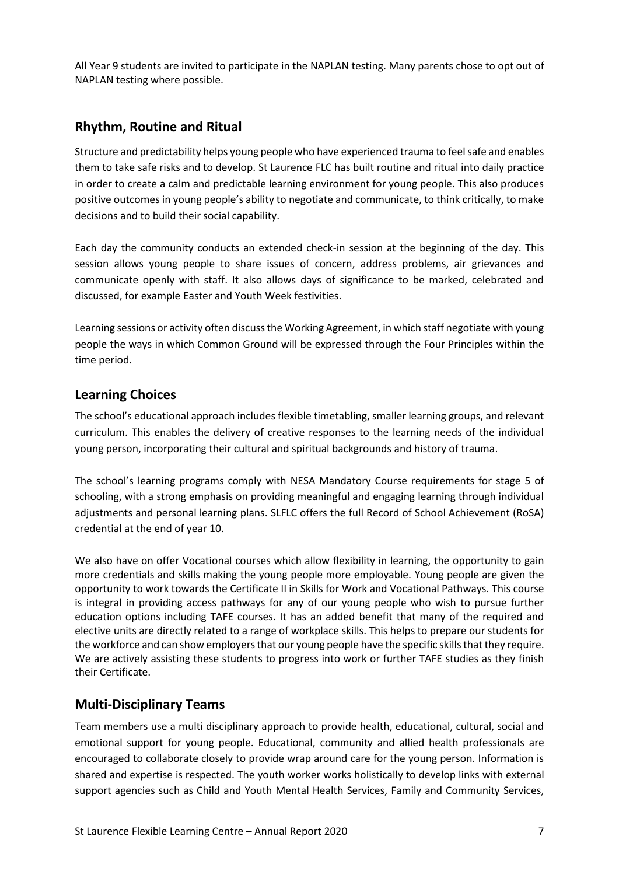All Year 9 students are invited to participate in the NAPLAN testing. Many parents chose to opt out of NAPLAN testing where possible.

#### **Rhythm, Routine and Ritual**

Structure and predictability helps young people who have experienced trauma to feel safe and enables them to take safe risks and to develop. St Laurence FLC has built routine and ritual into daily practice in order to create a calm and predictable learning environment for young people. This also produces positive outcomes in young people's ability to negotiate and communicate, to think critically, to make decisions and to build their social capability.

Each day the community conducts an extended check-in session at the beginning of the day. This session allows young people to share issues of concern, address problems, air grievances and communicate openly with staff. It also allows days of significance to be marked, celebrated and discussed, for example Easter and Youth Week festivities.

Learning sessions or activity often discuss the Working Agreement, in which staff negotiate with young people the ways in which Common Ground will be expressed through the Four Principles within the time period.

#### **Learning Choices**

The school's educational approach includes flexible timetabling, smaller learning groups, and relevant curriculum. This enables the delivery of creative responses to the learning needs of the individual young person, incorporating their cultural and spiritual backgrounds and history of trauma.

The school's learning programs comply with NESA Mandatory Course requirements for stage 5 of schooling, with a strong emphasis on providing meaningful and engaging learning through individual adjustments and personal learning plans. SLFLC offers the full Record of School Achievement (RoSA) credential at the end of year 10.

We also have on offer Vocational courses which allow flexibility in learning, the opportunity to gain more credentials and skills making the young people more employable. Young people are given the opportunity to work towards the Certificate II in Skills for Work and Vocational Pathways. This course is integral in providing access pathways for any of our young people who wish to pursue further education options including TAFE courses. It has an added benefit that many of the required and elective units are directly related to a range of workplace skills. This helps to prepare our students for the workforce and can show employers that our young people have the specific skills that they require. We are actively assisting these students to progress into work or further TAFE studies as they finish their Certificate.

#### **Multi-Disciplinary Teams**

Team members use a multi disciplinary approach to provide health, educational, cultural, social and emotional support for young people. Educational, community and allied health professionals are encouraged to collaborate closely to provide wrap around care for the young person. Information is shared and expertise is respected. The youth worker works holistically to develop links with external support agencies such as Child and Youth Mental Health Services, Family and Community Services,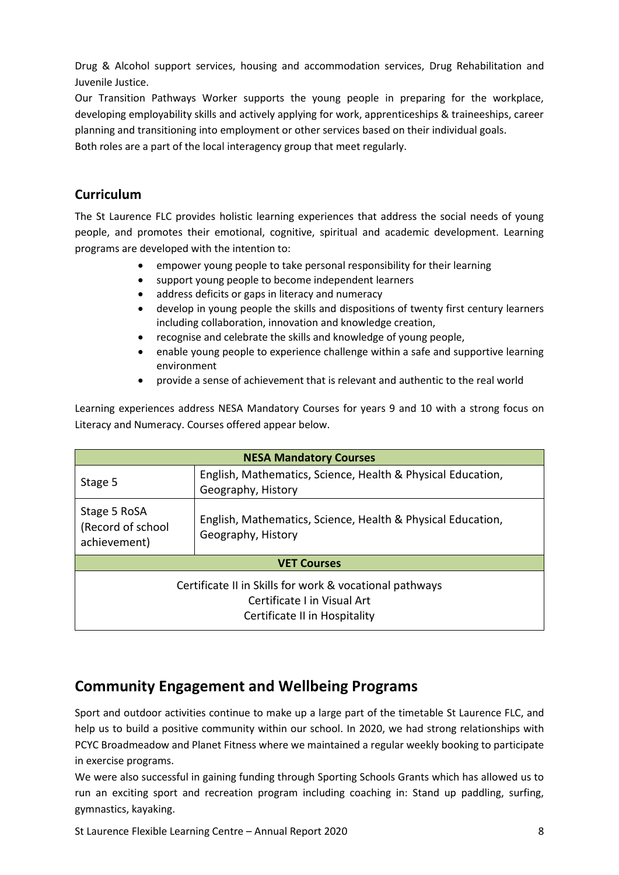Drug & Alcohol support services, housing and accommodation services, Drug Rehabilitation and Juvenile Justice.

Our Transition Pathways Worker supports the young people in preparing for the workplace, developing employability skills and actively applying for work, apprenticeships & traineeships, career planning and transitioning into employment or other services based on their individual goals. Both roles are a part of the local interagency group that meet regularly.

# **Curriculum**

The St Laurence FLC provides holistic learning experiences that address the social needs of young people, and promotes their emotional, cognitive, spiritual and academic development. Learning programs are developed with the intention to:

- empower young people to take personal responsibility for their learning
- support young people to become independent learners
- address deficits or gaps in literacy and numeracy
- develop in young people the skills and dispositions of twenty first century learners including collaboration, innovation and knowledge creation,
- recognise and celebrate the skills and knowledge of young people,
- enable young people to experience challenge within a safe and supportive learning environment
- provide a sense of achievement that is relevant and authentic to the real world

Learning experiences address NESA Mandatory Courses for years 9 and 10 with a strong focus on Literacy and Numeracy. Courses offered appear below.

| <b>NESA Mandatory Courses</b>                                                                                          |                                                                                   |  |  |
|------------------------------------------------------------------------------------------------------------------------|-----------------------------------------------------------------------------------|--|--|
| Stage 5                                                                                                                | English, Mathematics, Science, Health & Physical Education,<br>Geography, History |  |  |
| Stage 5 RoSA<br>(Record of school<br>achievement)                                                                      | English, Mathematics, Science, Health & Physical Education,<br>Geography, History |  |  |
| <b>VET Courses</b>                                                                                                     |                                                                                   |  |  |
| Certificate II in Skills for work & vocational pathways<br>Certificate Lin Visual Art<br>Certificate II in Hospitality |                                                                                   |  |  |

# **Community Engagement and Wellbeing Programs**

Sport and outdoor activities continue to make up a large part of the timetable St Laurence FLC, and help us to build a positive community within our school. In 2020, we had strong relationships with PCYC Broadmeadow and Planet Fitness where we maintained a regular weekly booking to participate in exercise programs.

We were also successful in gaining funding through Sporting Schools Grants which has allowed us to run an exciting sport and recreation program including coaching in: Stand up paddling, surfing, gymnastics, kayaking.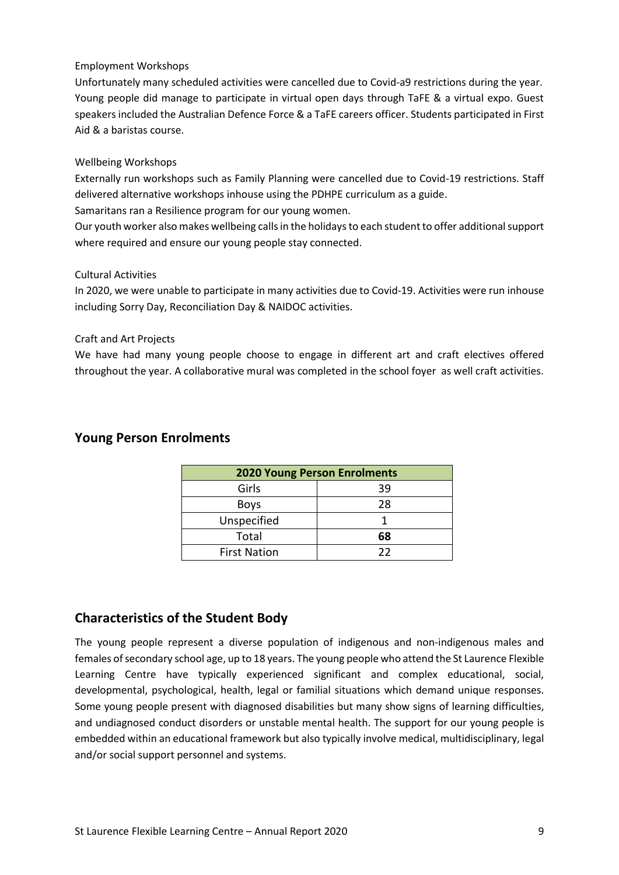#### Employment Workshops

Unfortunately many scheduled activities were cancelled due to Covid-a9 restrictions during the year. Young people did manage to participate in virtual open days through TaFE & a virtual expo. Guest speakers included the Australian Defence Force & a TaFE careers officer. Students participated in First Aid & a baristas course.

#### Wellbeing Workshops

Externally run workshops such as Family Planning were cancelled due to Covid-19 restrictions. Staff delivered alternative workshops inhouse using the PDHPE curriculum as a guide.

Samaritans ran a Resilience program for our young women.

Our youth worker also makes wellbeing calls in the holidays to each student to offer additional support where required and ensure our young people stay connected.

#### Cultural Activities

In 2020, we were unable to participate in many activities due to Covid-19. Activities were run inhouse including Sorry Day, Reconciliation Day & NAIDOC activities.

#### Craft and Art Projects

We have had many young people choose to engage in different art and craft electives offered throughout the year. A collaborative mural was completed in the school foyer as well craft activities.

| <b>2020 Young Person Enrolments</b> |    |  |
|-------------------------------------|----|--|
| Girls                               | 39 |  |
| <b>Boys</b>                         | 28 |  |
| Unspecified                         |    |  |
| Total                               | 68 |  |
| <b>First Nation</b>                 | フフ |  |

#### **Young Person Enrolments**

#### **Characteristics of the Student Body**

The young people represent a diverse population of indigenous and non-indigenous males and females of secondary school age, up to 18 years. The young people who attend the St Laurence Flexible Learning Centre have typically experienced significant and complex educational, social, developmental, psychological, health, legal or familial situations which demand unique responses. Some young people present with diagnosed disabilities but many show signs of learning difficulties, and undiagnosed conduct disorders or unstable mental health. The support for our young people is embedded within an educational framework but also typically involve medical, multidisciplinary, legal and/or social support personnel and systems.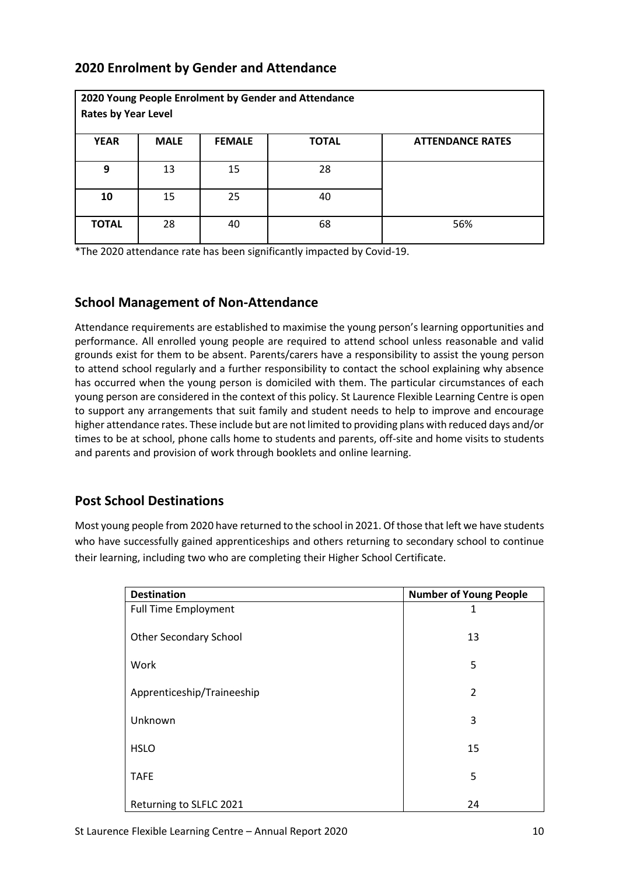### **2020 Enrolment by Gender and Attendance**

| <b>Rates by Year Level</b> |             |               | 2020 Young People Enrolment by Gender and Attendance |                         |
|----------------------------|-------------|---------------|------------------------------------------------------|-------------------------|
| <b>YEAR</b>                | <b>MALE</b> | <b>FEMALE</b> | <b>TOTAL</b>                                         | <b>ATTENDANCE RATES</b> |
| 9                          | 13          | 15            | 28                                                   |                         |
| 10                         | 15          | 25            | 40                                                   |                         |
| <b>TOTAL</b>               | 28          | 40            | 68                                                   | 56%                     |

\*The 2020 attendance rate has been significantly impacted by Covid-19.

#### **School Management of Non-Attendance**

Attendance requirements are established to maximise the young person's learning opportunities and performance. All enrolled young people are required to attend school unless reasonable and valid grounds exist for them to be absent. Parents/carers have a responsibility to assist the young person to attend school regularly and a further responsibility to contact the school explaining why absence has occurred when the young person is domiciled with them. The particular circumstances of each young person are considered in the context of this policy. St Laurence Flexible Learning Centre is open to support any arrangements that suit family and student needs to help to improve and encourage higher attendance rates. These include but are not limited to providing plans with reduced days and/or times to be at school, phone calls home to students and parents, off-site and home visits to students and parents and provision of work through booklets and online learning.

# **Post School Destinations**

Most young people from 2020 have returned to the school in 2021. Of those that left we have students who have successfully gained apprenticeships and others returning to secondary school to continue their learning, including two who are completing their Higher School Certificate.

| <b>Destination</b>            | <b>Number of Young People</b> |
|-------------------------------|-------------------------------|
| <b>Full Time Employment</b>   | 1                             |
| <b>Other Secondary School</b> | 13                            |
| Work                          | 5                             |
| Apprenticeship/Traineeship    | $\overline{2}$                |
| Unknown                       | 3                             |
| <b>HSLO</b>                   | 15                            |
| <b>TAFE</b>                   | 5                             |
| Returning to SLFLC 2021       | 24                            |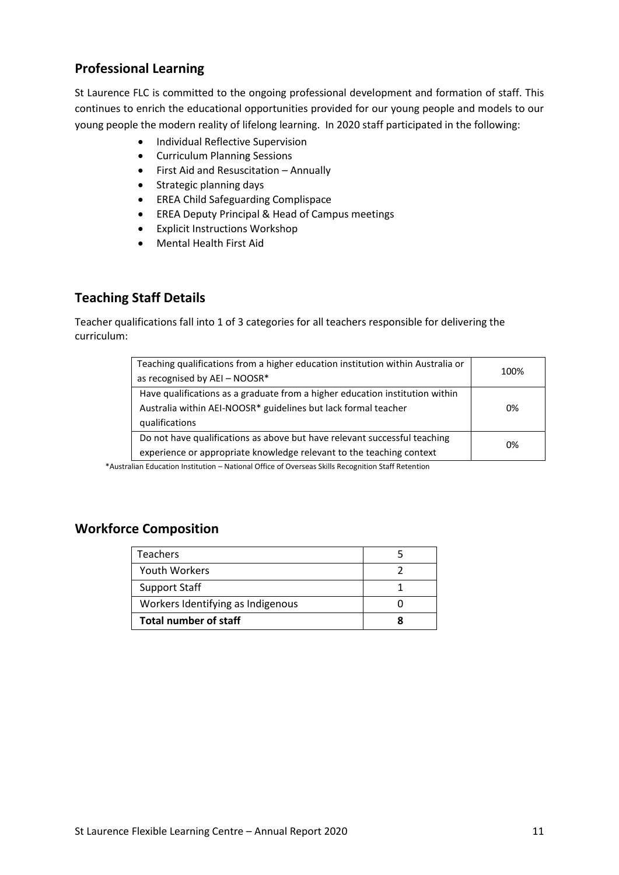### **Professional Learning**

St Laurence FLC is committed to the ongoing professional development and formation of staff. This continues to enrich the educational opportunities provided for our young people and models to our young people the modern reality of lifelong learning. In 2020 staff participated in the following:

- Individual Reflective Supervision
- Curriculum Planning Sessions
- First Aid and Resuscitation Annually
- Strategic planning days
- EREA Child Safeguarding Complispace
- EREA Deputy Principal & Head of Campus meetings
- Explicit Instructions Workshop
- Mental Health First Aid

# **Teaching Staff Details**

Teacher qualifications fall into 1 of 3 categories for all teachers responsible for delivering the curriculum:

| Teaching qualifications from a higher education institution within Australia or<br>as recognised by AEI - NOOSR*                                                 | 100% |
|------------------------------------------------------------------------------------------------------------------------------------------------------------------|------|
| Have qualifications as a graduate from a higher education institution within<br>Australia within AEI-NOOSR* guidelines but lack formal teacher<br>qualifications | 0%   |
| Do not have qualifications as above but have relevant successful teaching<br>experience or appropriate knowledge relevant to the teaching context                | 0%   |

\*Australian Education Institution – National Office of Overseas Skills Recognition Staff Retention

# **Workforce Composition**

| <b>Teachers</b>                   |  |
|-----------------------------------|--|
| Youth Workers                     |  |
| <b>Support Staff</b>              |  |
| Workers Identifying as Indigenous |  |
| <b>Total number of staff</b>      |  |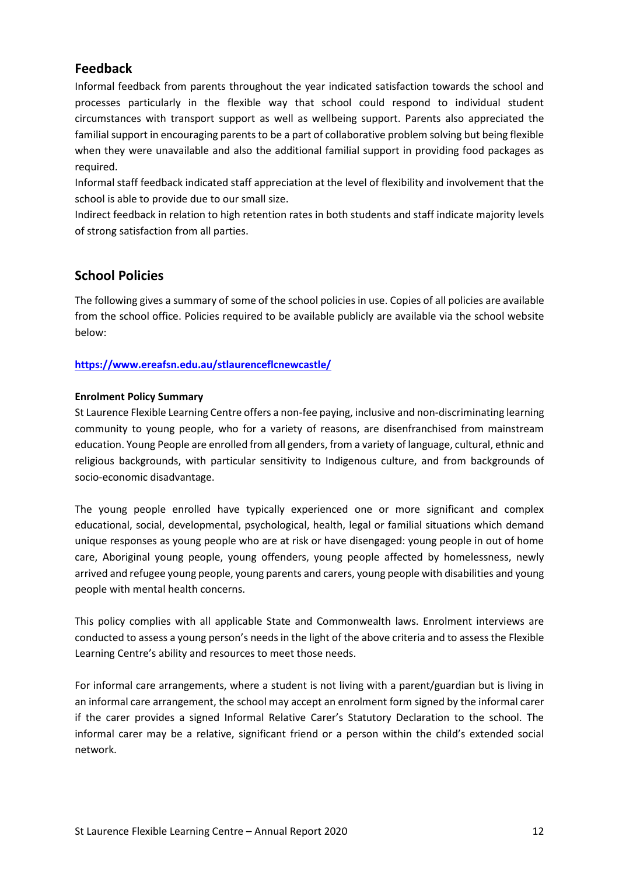#### **Feedback**

Informal feedback from parents throughout the year indicated satisfaction towards the school and processes particularly in the flexible way that school could respond to individual student circumstances with transport support as well as wellbeing support. Parents also appreciated the familial support in encouraging parents to be a part of collaborative problem solving but being flexible when they were unavailable and also the additional familial support in providing food packages as required.

Informal staff feedback indicated staff appreciation at the level of flexibility and involvement that the school is able to provide due to our small size.

Indirect feedback in relation to high retention rates in both students and staff indicate majority levels of strong satisfaction from all parties.

#### **School Policies**

The following gives a summary of some of the school policies in use. Copies of all policies are available from the school office. Policies required to be available publicly are available via the school website below:

**<https://www.ereafsn.edu.au/stlaurenceflcnewcastle/>**

#### **Enrolment Policy Summary**

St Laurence Flexible Learning Centre offers a non-fee paying, inclusive and non-discriminating learning community to young people, who for a variety of reasons, are disenfranchised from mainstream education. Young People are enrolled from all genders, from a variety of language, cultural, ethnic and religious backgrounds, with particular sensitivity to Indigenous culture, and from backgrounds of socio-economic disadvantage.

The young people enrolled have typically experienced one or more significant and complex educational, social, developmental, psychological, health, legal or familial situations which demand unique responses as young people who are at risk or have disengaged: young people in out of home care, Aboriginal young people, young offenders, young people affected by homelessness, newly arrived and refugee young people, young parents and carers, young people with disabilities and young people with mental health concerns.

This policy complies with all applicable State and Commonwealth laws. Enrolment interviews are conducted to assess a young person's needs in the light of the above criteria and to assess the Flexible Learning Centre's ability and resources to meet those needs.

For informal care arrangements, where a student is not living with a parent/guardian but is living in an informal care arrangement, the school may accept an enrolment form signed by the informal carer if the carer provides a signed Informal Relative Carer's Statutory Declaration to the school. The informal carer may be a relative, significant friend or a person within the child's extended social network.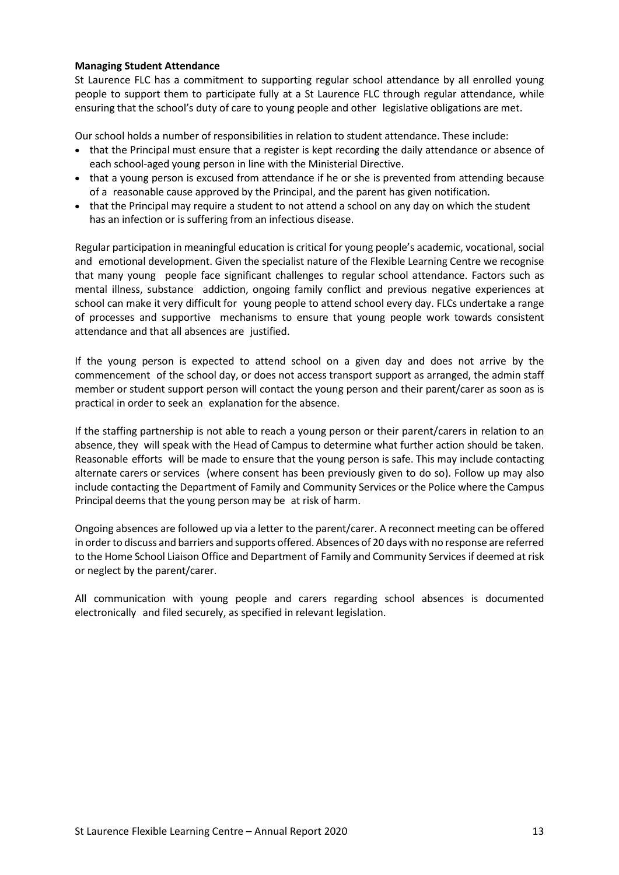#### **Managing Student Attendance**

St Laurence FLC has a commitment to supporting regular school attendance by all enrolled young people to support them to participate fully at a St Laurence FLC through regular attendance, while ensuring that the school's duty of care to young people and other legislative obligations are met.

Our school holds a number of responsibilities in relation to student attendance. These include:

- that the Principal must ensure that a register is kept recording the daily attendance or absence of each school-aged young person in line with the Ministerial Directive.
- that a young person is excused from attendance if he or she is prevented from attending because of a reasonable cause approved by the Principal, and the parent has given notification.
- that the Principal may require a student to not attend a school on any day on which the student has an infection or is suffering from an infectious disease.

Regular participation in meaningful education is critical for young people's academic, vocational,social and emotional development. Given the specialist nature of the Flexible Learning Centre we recognise that many young people face significant challenges to regular school attendance. Factors such as mental illness, substance addiction, ongoing family conflict and previous negative experiences at school can make it very difficult for young people to attend school every day. FLCs undertake a range of processes and supportive mechanisms to ensure that young people work towards consistent attendance and that all absences are justified.

If the young person is expected to attend school on a given day and does not arrive by the commencement of the school day, or does not access transport support as arranged, the admin staff member or student support person will contact the young person and their parent/carer as soon as is practical in order to seek an explanation for the absence.

If the staffing partnership is not able to reach a young person or their parent/carers in relation to an absence, they will speak with the Head of Campus to determine what further action should be taken. Reasonable efforts will be made to ensure that the young person is safe. This may include contacting alternate carers or services (where consent has been previously given to do so). Follow up may also include contacting the Department of Family and Community Services or the Police where the Campus Principal deems that the young person may be at risk of harm.

Ongoing absences are followed up via a letter to the parent/carer. A reconnect meeting can be offered in order to discuss and barriers and supports offered. Absences of 20 days with no response are referred to the Home School Liaison Office and Department of Family and Community Services if deemed at risk or neglect by the parent/carer.

All communication with young people and carers regarding school absences is documented electronically and filed securely, as specified in relevant legislation.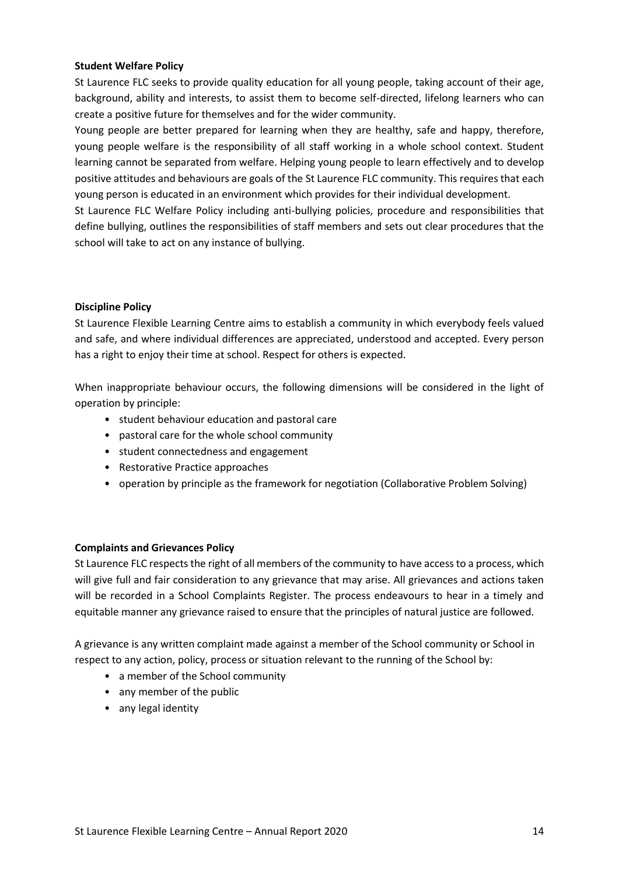#### **Student Welfare Policy**

St Laurence FLC seeks to provide quality education for all young people, taking account of their age, background, ability and interests, to assist them to become self-directed, lifelong learners who can create a positive future for themselves and for the wider community.

Young people are better prepared for learning when they are healthy, safe and happy, therefore, young people welfare is the responsibility of all staff working in a whole school context. Student learning cannot be separated from welfare. Helping young people to learn effectively and to develop positive attitudes and behaviours are goals of the St Laurence FLC community. This requires that each young person is educated in an environment which provides for their individual development.

St Laurence FLC Welfare Policy including anti-bullying policies, procedure and responsibilities that define bullying, outlines the responsibilities of staff members and sets out clear procedures that the school will take to act on any instance of bullying.

#### **Discipline Policy**

St Laurence Flexible Learning Centre aims to establish a community in which everybody feels valued and safe, and where individual differences are appreciated, understood and accepted. Every person has a right to enjoy their time at school. Respect for others is expected.

When inappropriate behaviour occurs, the following dimensions will be considered in the light of operation by principle:

- student behaviour education and pastoral care
- pastoral care for the whole school community
- student connectedness and engagement
- Restorative Practice approaches
- operation by principle as the framework for negotiation (Collaborative Problem Solving)

#### **Complaints and Grievances Policy**

St Laurence FLC respects the right of all members of the community to have access to a process, which will give full and fair consideration to any grievance that may arise. All grievances and actions taken will be recorded in a School Complaints Register. The process endeavours to hear in a timely and equitable manner any grievance raised to ensure that the principles of natural justice are followed.

A grievance is any written complaint made against a member of the School community or School in respect to any action, policy, process or situation relevant to the running of the School by:

- a member of the School community
- any member of the public
- any legal identity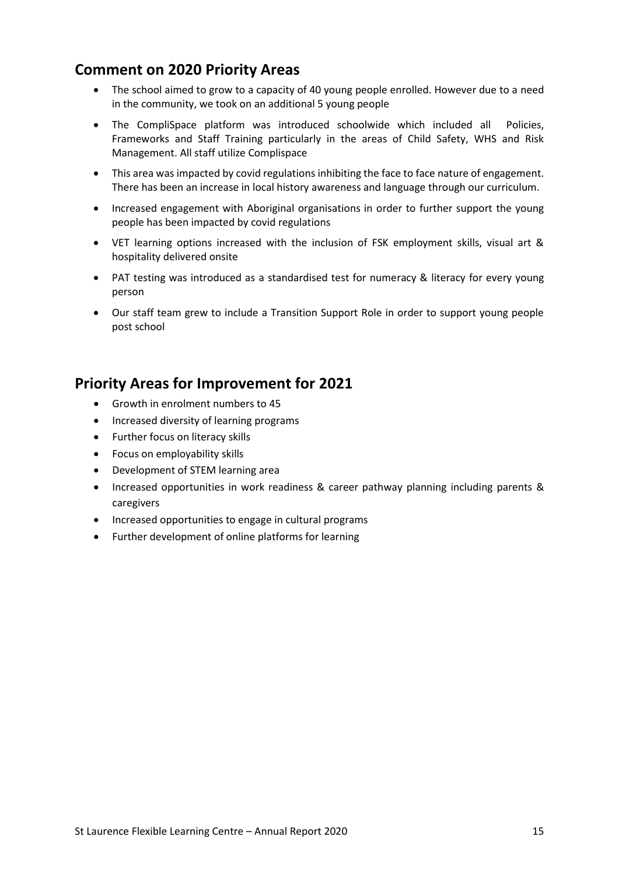# **Comment on 2020 Priority Areas**

- The school aimed to grow to a capacity of 40 young people enrolled. However due to a need in the community, we took on an additional 5 young people
- The CompliSpace platform was introduced schoolwide which included all Policies, Frameworks and Staff Training particularly in the areas of Child Safety, WHS and Risk Management. All staff utilize Complispace
- This area was impacted by covid regulations inhibiting the face to face nature of engagement. There has been an increase in local history awareness and language through our curriculum.
- Increased engagement with Aboriginal organisations in order to further support the young people has been impacted by covid regulations
- VET learning options increased with the inclusion of FSK employment skills, visual art & hospitality delivered onsite
- PAT testing was introduced as a standardised test for numeracy & literacy for every young person
- Our staff team grew to include a Transition Support Role in order to support young people post school

# **Priority Areas for Improvement for 2021**

- Growth in enrolment numbers to 45
- Increased diversity of learning programs
- Further focus on literacy skills
- Focus on employability skills
- Development of STEM learning area
- Increased opportunities in work readiness & career pathway planning including parents & caregivers
- Increased opportunities to engage in cultural programs
- Further development of online platforms for learning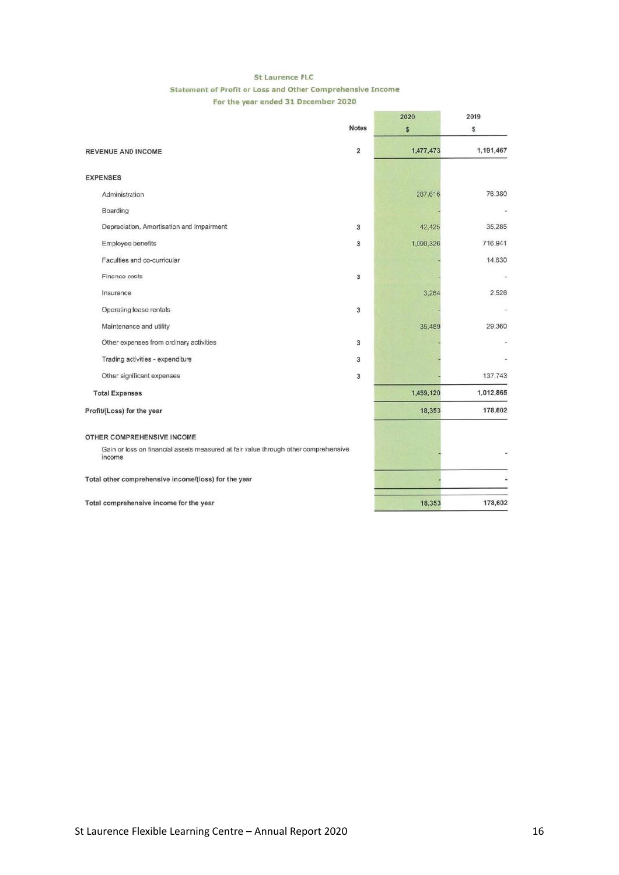#### St Laurence FLC Statement of Profit or Loss and Other Comprehensive Income For the year ended 31 December 2020

|                                                                                               |                | 2020      | 2019      |  |
|-----------------------------------------------------------------------------------------------|----------------|-----------|-----------|--|
|                                                                                               | Notes          | \$        | \$        |  |
| <b>REVENUE AND INCOME</b>                                                                     | $\overline{2}$ | 1,477,473 | 1,191,467 |  |
| <b>EXPENSES</b>                                                                               |                |           |           |  |
| Administration                                                                                |                | 287,616   | 76,380    |  |
| Boarding                                                                                      |                |           |           |  |
| Depreciation, Amortisation and Impairment                                                     | $\overline{3}$ | 42,425    | 35.285    |  |
| Employee benefits                                                                             | 3              | 1,090,326 | 716.941   |  |
| Faculties and co-curricular                                                                   |                |           | 14,630    |  |
| Finance costs                                                                                 | 3              |           |           |  |
| Insurance                                                                                     |                | 3,264     | 2.526     |  |
| Operating lease rentals                                                                       | $\overline{3}$ |           |           |  |
| Maintenance and utility                                                                       |                | 35,489    | 29.360    |  |
| Other expenses from ordinary activities                                                       | 3              |           |           |  |
| Trading activities - expenditure                                                              | 3              |           |           |  |
| Other significant expenses                                                                    | 3              |           | 137,743   |  |
| <b>Total Expenses</b>                                                                         |                | 1,459,120 | 1,012,865 |  |
| Profit/(Loss) for the year                                                                    |                | 18,353    | 178,602   |  |
| OTHER COMPREHENSIVE INCOME                                                                    |                |           |           |  |
| Gain or loss on financial assets measured at fair value through other comprehensive<br>income |                |           |           |  |
| Total other comprehensive income/(loss) for the year                                          |                |           |           |  |
| Total comprehensive income for the year                                                       |                | 18,353    | 178,602   |  |